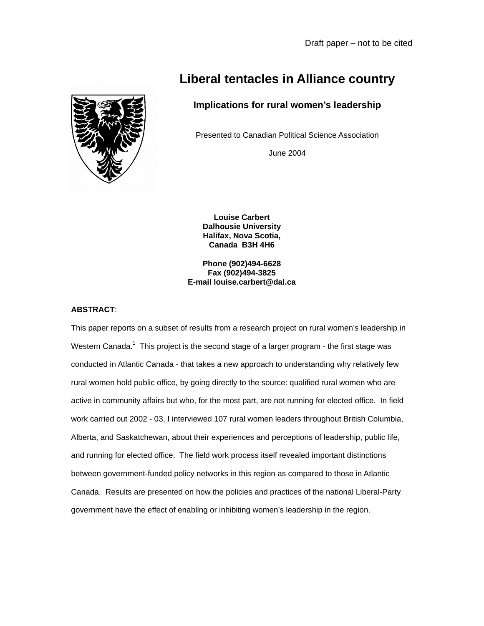

# **Implications for rural women's leadership**

Presented to Canadian Political Science Association

June 2004

**Louise Carbert Dalhousie University Halifax, Nova Scotia, Canada B3H 4H6** 

**Phone (902)494-6628 Fax (902)494-3825 E-mail louise.carbert@dal.ca** 

# **ABSTRACT**:

This paper reports on a subset of results from a research project on rural women's leadership in Western Canada.<sup>[1](#page-27-0)</sup> This project is the second stage of a larger program - the first stage was conducted in Atlantic Canada - that takes a new approach to understanding why relatively few rural women hold public office, by going directly to the source: qualified rural women who are active in community affairs but who, for the most part, are not running for elected office. In field work carried out 2002 - 03, I interviewed 107 rural women leaders throughout British Columbia, Alberta, and Saskatchewan, about their experiences and perceptions of leadership, public life, and running for elected office. The field work process itself revealed important distinctions between government-funded policy networks in this region as compared to those in Atlantic Canada. Results are presented on how the policies and practices of the national Liberal-Party government have the effect of enabling or inhibiting women's leadership in the region.

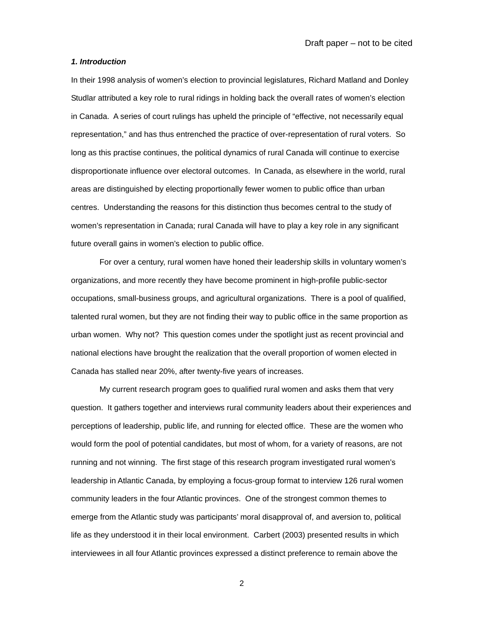## *1. Introduction*

In their 1998 analysis of women's election to provincial legislatures, Richard Matland and Donley Studlar attributed a key role to rural ridings in holding back the overall rates of women's election in Canada. A series of court rulings has upheld the principle of "effective, not necessarily equal representation," and has thus entrenched the practice of over-representation of rural voters. So long as this practise continues, the political dynamics of rural Canada will continue to exercise disproportionate influence over electoral outcomes. In Canada, as elsewhere in the world, rural areas are distinguished by electing proportionally fewer women to public office than urban centres. Understanding the reasons for this distinction thus becomes central to the study of women's representation in Canada; rural Canada will have to play a key role in any significant future overall gains in women's election to public office.

For over a century, rural women have honed their leadership skills in voluntary women's organizations, and more recently they have become prominent in high-profile public-sector occupations, small-business groups, and agricultural organizations. There is a pool of qualified, talented rural women, but they are not finding their way to public office in the same proportion as urban women. Why not? This question comes under the spotlight just as recent provincial and national elections have brought the realization that the overall proportion of women elected in Canada has stalled near 20%, after twenty-five years of increases.

My current research program goes to qualified rural women and asks them that very question. It gathers together and interviews rural community leaders about their experiences and perceptions of leadership, public life, and running for elected office. These are the women who would form the pool of potential candidates, but most of whom, for a variety of reasons, are not running and not winning. The first stage of this research program investigated rural women's leadership in Atlantic Canada, by employing a focus-group format to interview 126 rural women community leaders in the four Atlantic provinces. One of the strongest common themes to emerge from the Atlantic study was participants' moral disapproval of, and aversion to, political life as they understood it in their local environment. Carbert (2003) presented results in which interviewees in all four Atlantic provinces expressed a distinct preference to remain above the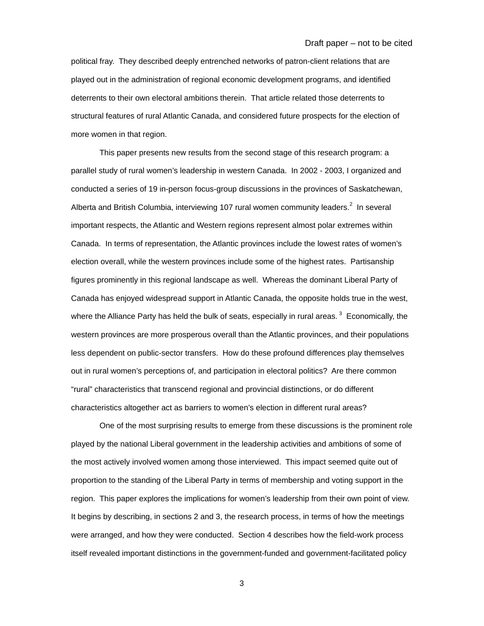political fray. They described deeply entrenched networks of patron-client relations that are played out in the administration of regional economic development programs, and identified deterrents to their own electoral ambitions therein. That article related those deterrents to structural features of rural Atlantic Canada, and considered future prospects for the election of more women in that region.

This paper presents new results from the second stage of this research program: a parallel study of rural women's leadership in western Canada. In 2002 - 2003, I organized and conducted a series of 19 in-person focus-group discussions in the provinces of Saskatchewan, Albertaand British Columbia, interviewing 107 rural women community leaders. $2$  In several important respects, the Atlantic and Western regions represent almost polar extremes within Canada. In terms of representation, the Atlantic provinces include the lowest rates of women's election overall, while the western provinces include some of the highest rates. Partisanship figures prominently in this regional landscape as well. Whereas the dominant Liberal Party of Canada has enjoyed widespread support in Atlantic Canada, the opposite holds true in the west, where the Alliance Party has held the bulk of seats, especially in rural areas.<sup>3</sup> Economically, the western provinces are more prosperous overall than the Atlantic provinces, and their populations less dependent on public-sector transfers. How do these profound differences play themselves out in rural women's perceptions of, and participation in electoral politics? Are there common "rural" characteristics that transcend regional and provincial distinctions, or do different characteristics altogether act as barriers to women's election in different rural areas?

One of the most surprising results to emerge from these discussions is the prominent role played by the national Liberal government in the leadership activities and ambitions of some of the most actively involved women among those interviewed. This impact seemed quite out of proportion to the standing of the Liberal Party in terms of membership and voting support in the region. This paper explores the implications for women's leadership from their own point of view. It begins by describing, in sections 2 and 3, the research process, in terms of how the meetings were arranged, and how they were conducted. Section 4 describes how the field-work process itself revealed important distinctions in the government-funded and government-facilitated policy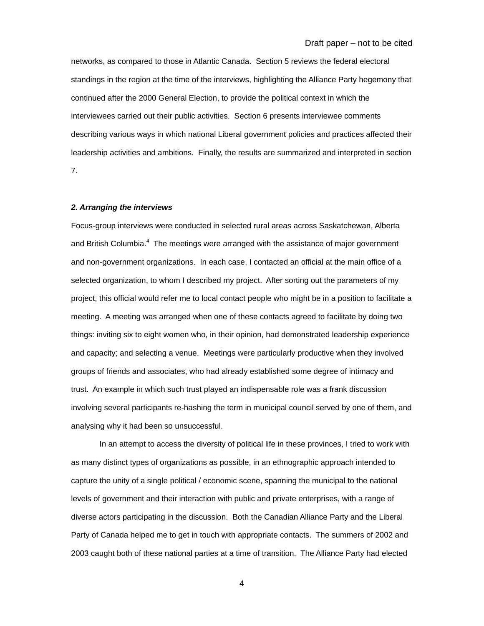networks, as compared to those in Atlantic Canada. Section 5 reviews the federal electoral standings in the region at the time of the interviews, highlighting the Alliance Party hegemony that continued after the 2000 General Election, to provide the political context in which the interviewees carried out their public activities. Section 6 presents interviewee comments describing various ways in which national Liberal government policies and practices affected their leadership activities and ambitions. Finally, the results are summarized and interpreted in section 7.

## *2. Arranging the interviews*

Focus-group interviews were conducted in selected rural areas across Saskatchewan, Alberta and British Columbia. $4$  The meetings were arranged with the assistance of major government and non-government organizations. In each case, I contacted an official at the main office of a selected organization, to whom I described my project. After sorting out the parameters of my project, this official would refer me to local contact people who might be in a position to facilitate a meeting. A meeting was arranged when one of these contacts agreed to facilitate by doing two things: inviting six to eight women who, in their opinion, had demonstrated leadership experience and capacity; and selecting a venue. Meetings were particularly productive when they involved groups of friends and associates, who had already established some degree of intimacy and trust. An example in which such trust played an indispensable role was a frank discussion involving several participants re-hashing the term in municipal council served by one of them, and analysing why it had been so unsuccessful.

In an attempt to access the diversity of political life in these provinces, I tried to work with as many distinct types of organizations as possible, in an ethnographic approach intended to capture the unity of a single political / economic scene, spanning the municipal to the national levels of government and their interaction with public and private enterprises, with a range of diverse actors participating in the discussion. Both the Canadian Alliance Party and the Liberal Party of Canada helped me to get in touch with appropriate contacts. The summers of 2002 and 2003 caught both of these national parties at a time of transition. The Alliance Party had elected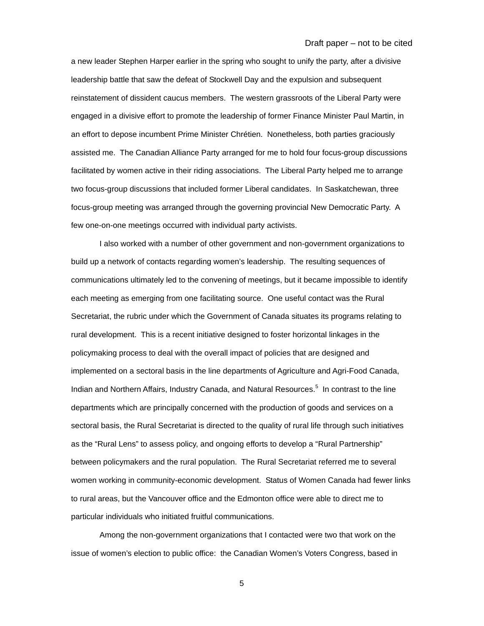a new leader Stephen Harper earlier in the spring who sought to unify the party, after a divisive leadership battle that saw the defeat of Stockwell Day and the expulsion and subsequent reinstatement of dissident caucus members. The western grassroots of the Liberal Party were engaged in a divisive effort to promote the leadership of former Finance Minister Paul Martin, in an effort to depose incumbent Prime Minister Chrétien. Nonetheless, both parties graciously assisted me. The Canadian Alliance Party arranged for me to hold four focus-group discussions facilitated by women active in their riding associations. The Liberal Party helped me to arrange two focus-group discussions that included former Liberal candidates. In Saskatchewan, three focus-group meeting was arranged through the governing provincial New Democratic Party. A few one-on-one meetings occurred with individual party activists.

I also worked with a number of other government and non-government organizations to build up a network of contacts regarding women's leadership. The resulting sequences of communications ultimately led to the convening of meetings, but it became impossible to identify each meeting as emerging from one facilitating source. One useful contact was the Rural Secretariat, the rubric under which the Government of Canada situates its programs relating to rural development. This is a recent initiative designed to foster horizontal linkages in the policymaking process to deal with the overall impact of policies that are designed and implemented on a sectoral basis in the line departments of Agriculture and Agri-Food Canada, Indian and Northern Affairs, Industry Canada, and Natural Resources.<sup>[5](#page-27-4)</sup> In contrast to the line departments which are principally concerned with the production of goods and services on a sectoral basis, the Rural Secretariat is directed to the quality of rural life through such initiatives as the "Rural Lens" to assess policy, and ongoing efforts to develop a "Rural Partnership" between policymakers and the rural population. The Rural Secretariat referred me to several women working in community-economic development. Status of Women Canada had fewer links to rural areas, but the Vancouver office and the Edmonton office were able to direct me to particular individuals who initiated fruitful communications.

Among the non-government organizations that I contacted were two that work on the issue of women's election to public office: the Canadian Women's Voters Congress, based in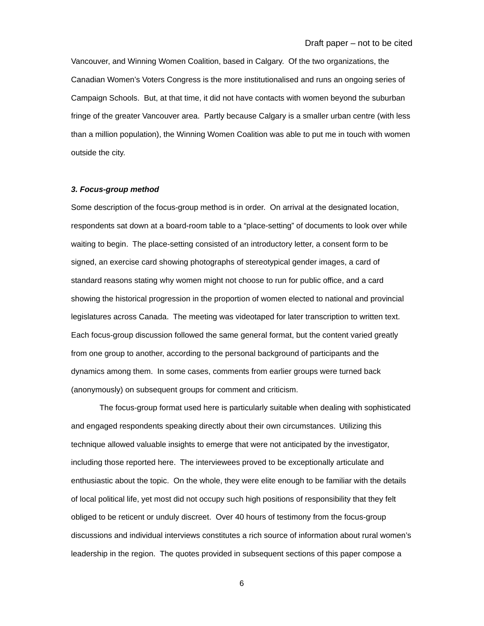Vancouver, and Winning Women Coalition, based in Calgary. Of the two organizations, the Canadian Women's Voters Congress is the more institutionalised and runs an ongoing series of Campaign Schools. But, at that time, it did not have contacts with women beyond the suburban fringe of the greater Vancouver area. Partly because Calgary is a smaller urban centre (with less than a million population), the Winning Women Coalition was able to put me in touch with women outside the city.

#### *3. Focus-group method*

Some description of the focus-group method is in order. On arrival at the designated location, respondents sat down at a board-room table to a "place-setting" of documents to look over while waiting to begin. The place-setting consisted of an introductory letter, a consent form to be signed, an exercise card showing photographs of stereotypical gender images, a card of standard reasons stating why women might not choose to run for public office, and a card showing the historical progression in the proportion of women elected to national and provincial legislatures across Canada. The meeting was videotaped for later transcription to written text. Each focus-group discussion followed the same general format, but the content varied greatly from one group to another, according to the personal background of participants and the dynamics among them. In some cases, comments from earlier groups were turned back (anonymously) on subsequent groups for comment and criticism.

The focus-group format used here is particularly suitable when dealing with sophisticated and engaged respondents speaking directly about their own circumstances. Utilizing this technique allowed valuable insights to emerge that were not anticipated by the investigator, including those reported here. The interviewees proved to be exceptionally articulate and enthusiastic about the topic. On the whole, they were elite enough to be familiar with the details of local political life, yet most did not occupy such high positions of responsibility that they felt obliged to be reticent or unduly discreet. Over 40 hours of testimony from the focus-group discussions and individual interviews constitutes a rich source of information about rural women's leadership in the region. The quotes provided in subsequent sections of this paper compose a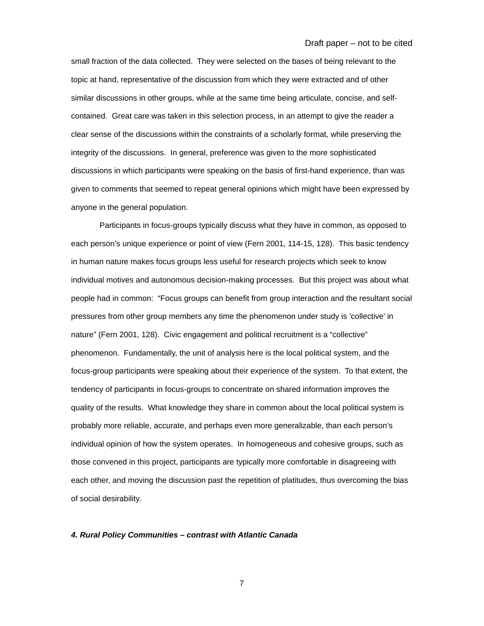small fraction of the data collected. They were selected on the bases of being relevant to the topic at hand, representative of the discussion from which they were extracted and of other similar discussions in other groups, while at the same time being articulate, concise, and selfcontained. Great care was taken in this selection process, in an attempt to give the reader a clear sense of the discussions within the constraints of a scholarly format, while preserving the integrity of the discussions. In general, preference was given to the more sophisticated discussions in which participants were speaking on the basis of first-hand experience, than was given to comments that seemed to repeat general opinions which might have been expressed by anyone in the general population.

Participants in focus-groups typically discuss what they have in common, as opposed to each person's unique experience or point of view (Fern 2001, 114-15, 128). This basic tendency in human nature makes focus groups less useful for research projects which seek to know individual motives and autonomous decision-making processes. But this project was about what people had in common: "Focus groups can benefit from group interaction and the resultant social pressures from other group members any time the phenomenon under study is 'collective' in nature" (Fern 2001, 128). Civic engagement and political recruitment is a "collective" phenomenon. Fundamentally, the unit of analysis here is the local political system, and the focus-group participants were speaking about their experience of the system. To that extent, the tendency of participants in focus-groups to concentrate on shared information improves the quality of the results. What knowledge they share in common about the local political system is probably more reliable, accurate, and perhaps even more generalizable, than each person's individual opinion of how the system operates. In homogeneous and cohesive groups, such as those convened in this project, participants are typically more comfortable in disagreeing with each other, and moving the discussion past the repetition of platitudes, thus overcoming the bias of social desirability.

## *4. Rural Policy Communities – contrast with Atlantic Canada*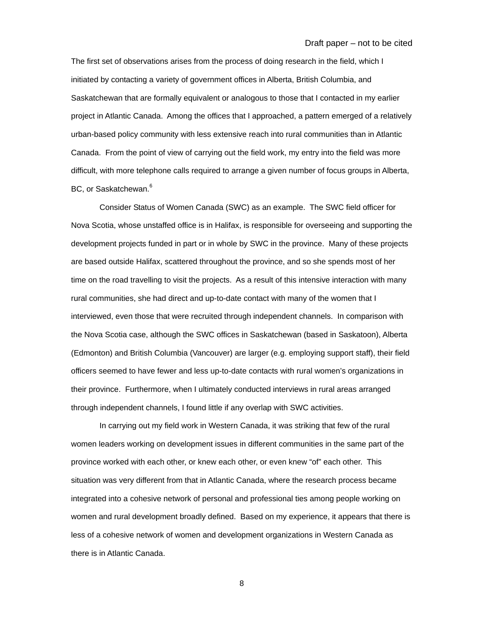The first set of observations arises from the process of doing research in the field, which I initiated by contacting a variety of government offices in Alberta, British Columbia, and Saskatchewan that are formally equivalent or analogous to those that I contacted in my earlier project in Atlantic Canada. Among the offices that I approached, a pattern emerged of a relatively urban-based policy community with less extensive reach into rural communities than in Atlantic Canada. From the point of view of carrying out the field work, my entry into the field was more difficult, with more telephone calls required to arrange a given number of focus groups in Alberta, BC, or Saskatchewan.<sup>[6](#page-27-5)</sup>

Consider Status of Women Canada (SWC) as an example. The SWC field officer for Nova Scotia, whose unstaffed office is in Halifax, is responsible for overseeing and supporting the development projects funded in part or in whole by SWC in the province. Many of these projects are based outside Halifax, scattered throughout the province, and so she spends most of her time on the road travelling to visit the projects. As a result of this intensive interaction with many rural communities, she had direct and up-to-date contact with many of the women that I interviewed, even those that were recruited through independent channels. In comparison with the Nova Scotia case, although the SWC offices in Saskatchewan (based in Saskatoon), Alberta (Edmonton) and British Columbia (Vancouver) are larger (e.g. employing support staff), their field officers seemed to have fewer and less up-to-date contacts with rural women's organizations in their province. Furthermore, when I ultimately conducted interviews in rural areas arranged through independent channels, I found little if any overlap with SWC activities.

In carrying out my field work in Western Canada, it was striking that few of the rural women leaders working on development issues in different communities in the same part of the province worked with each other, or knew each other, or even knew "of" each other. This situation was very different from that in Atlantic Canada, where the research process became integrated into a cohesive network of personal and professional ties among people working on women and rural development broadly defined. Based on my experience, it appears that there is less of a cohesive network of women and development organizations in Western Canada as there is in Atlantic Canada.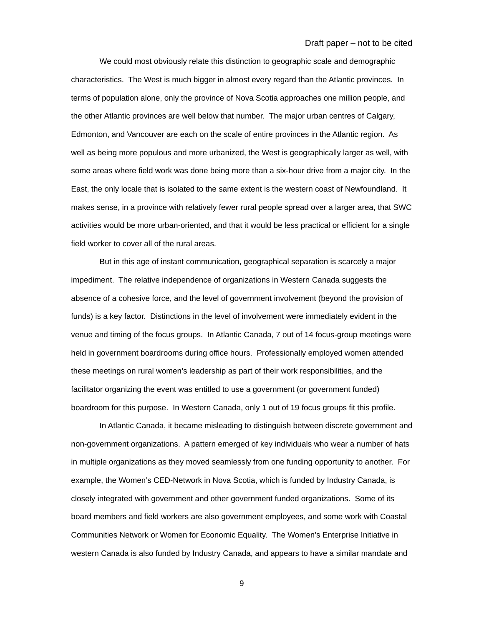We could most obviously relate this distinction to geographic scale and demographic characteristics. The West is much bigger in almost every regard than the Atlantic provinces. In terms of population alone, only the province of Nova Scotia approaches one million people, and the other Atlantic provinces are well below that number. The major urban centres of Calgary, Edmonton, and Vancouver are each on the scale of entire provinces in the Atlantic region. As well as being more populous and more urbanized, the West is geographically larger as well, with some areas where field work was done being more than a six-hour drive from a major city. In the East, the only locale that is isolated to the same extent is the western coast of Newfoundland. It makes sense, in a province with relatively fewer rural people spread over a larger area, that SWC activities would be more urban-oriented, and that it would be less practical or efficient for a single field worker to cover all of the rural areas.

But in this age of instant communication, geographical separation is scarcely a major impediment. The relative independence of organizations in Western Canada suggests the absence of a cohesive force, and the level of government involvement (beyond the provision of funds) is a key factor. Distinctions in the level of involvement were immediately evident in the venue and timing of the focus groups. In Atlantic Canada, 7 out of 14 focus-group meetings were held in government boardrooms during office hours. Professionally employed women attended these meetings on rural women's leadership as part of their work responsibilities, and the facilitator organizing the event was entitled to use a government (or government funded) boardroom for this purpose. In Western Canada, only 1 out of 19 focus groups fit this profile.

In Atlantic Canada, it became misleading to distinguish between discrete government and non-government organizations. A pattern emerged of key individuals who wear a number of hats in multiple organizations as they moved seamlessly from one funding opportunity to another. For example, the Women's CED-Network in Nova Scotia, which is funded by Industry Canada, is closely integrated with government and other government funded organizations. Some of its board members and field workers are also government employees, and some work with Coastal Communities Network or Women for Economic Equality. The Women's Enterprise Initiative in western Canada is also funded by Industry Canada, and appears to have a similar mandate and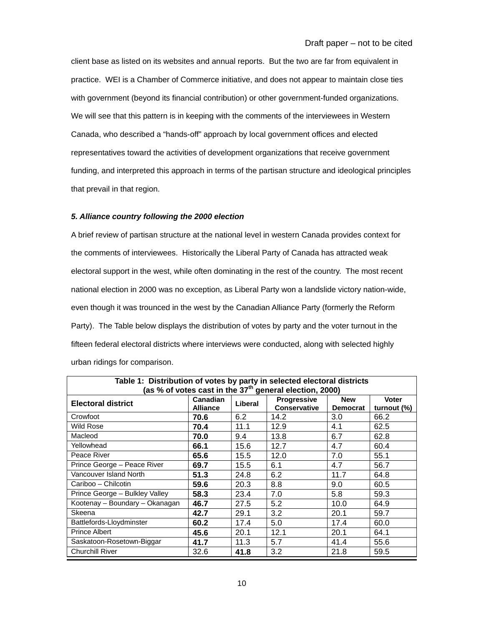client base as listed on its websites and annual reports. But the two are far from equivalent in practice. WEI is a Chamber of Commerce initiative, and does not appear to maintain close ties with government (beyond its financial contribution) or other government-funded organizations. We will see that this pattern is in keeping with the comments of the interviewees in Western Canada, who described a "hands-off" approach by local government offices and elected representatives toward the activities of development organizations that receive government funding, and interpreted this approach in terms of the partisan structure and ideological principles that prevail in that region.

# *5. Alliance country following the 2000 election*

A brief review of partisan structure at the national level in western Canada provides context for the comments of interviewees. Historically the Liberal Party of Canada has attracted weak electoral support in the west, while often dominating in the rest of the country. The most recent national election in 2000 was no exception, as Liberal Party won a landslide victory nation-wide, even though it was trounced in the west by the Canadian Alliance Party (formerly the Reform Party). The Table below displays the distribution of votes by party and the voter turnout in the fifteen federal electoral districts where interviews were conducted, along with selected highly urban ridings for comparison.

| Table 1: Distribution of votes by party in selected electoral districts<br>(as % of votes cast in the $37^{\text{th}}$ general election, 2000) |                 |         |                     |                 |             |  |  |  |
|------------------------------------------------------------------------------------------------------------------------------------------------|-----------------|---------|---------------------|-----------------|-------------|--|--|--|
| <b>Electoral district</b>                                                                                                                      | <b>Canadian</b> | Liberal | Progressive         | <b>New</b>      | Voter       |  |  |  |
|                                                                                                                                                | <b>Alliance</b> |         | <b>Conservative</b> | <b>Democrat</b> | turnout (%) |  |  |  |
| Crowfoot                                                                                                                                       | 70.6            | 6.2     | 14.2                | 3.0             | 66.2        |  |  |  |
| <b>Wild Rose</b>                                                                                                                               | 70.4            | 11.1    | 12.9                | 4.1             | 62.5        |  |  |  |
| Macleod                                                                                                                                        | 70.0            | 9.4     | 13.8                | 6.7             | 62.8        |  |  |  |
| Yellowhead                                                                                                                                     | 66.1            | 15.6    | 12.7                | 4.7             | 60.4        |  |  |  |
| Peace River                                                                                                                                    | 65.6            | 15.5    | 12.0                | 7.0             | 55.1        |  |  |  |
| Prince George - Peace River                                                                                                                    | 69.7            | 15.5    | 6.1                 | 4.7             | 56.7        |  |  |  |
| Vancouver Island North                                                                                                                         | 51.3            | 24.8    | 6.2                 | 11.7            | 64.8        |  |  |  |
| Cariboo - Chilcotin                                                                                                                            | 59.6            | 20.3    | 8.8                 | 9.0             | 60.5        |  |  |  |
| Prince George - Bulkley Valley                                                                                                                 | 58.3            | 23.4    | 7.0                 | 5.8             | 59.3        |  |  |  |
| Kootenay - Boundary - Okanagan                                                                                                                 | 46.7            | 27.5    | 5.2                 | 10.0            | 64.9        |  |  |  |
| Skeena                                                                                                                                         | 42.7            | 29.1    | 3.2                 | 20.1            | 59.7        |  |  |  |
| Battlefords-Lloydminster                                                                                                                       | 60.2            | 17.4    | 5.0                 | 17.4            | 60.0        |  |  |  |
| Prince Albert                                                                                                                                  | 45.6            | 20.1    | 12.1                | 20.1            | 64.1        |  |  |  |
| Saskatoon-Rosetown-Biggar                                                                                                                      | 41.7            | 11.3    | 5.7                 | 41.4            | 55.6        |  |  |  |
| <b>Churchill River</b>                                                                                                                         | 32.6            | 41.8    | 3.2                 | 21.8            | 59.5        |  |  |  |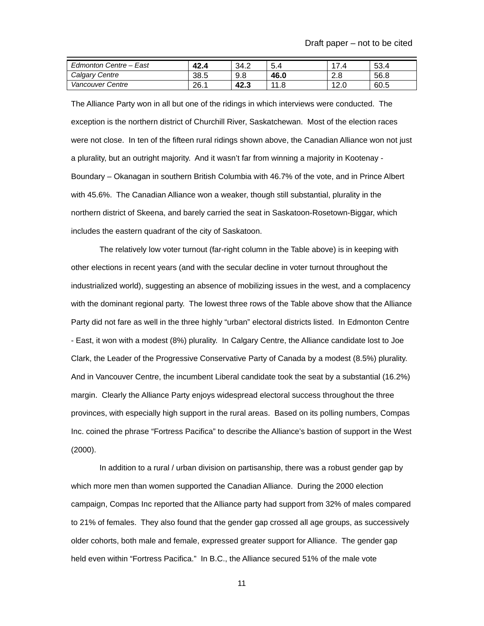| Edmonton Centre $-$<br>East | 42.4 | 34.2 | O.4       | -           | 53.4 |
|-----------------------------|------|------|-----------|-------------|------|
| Calgary Centre              | 38.5 | 9.8  | 46.0      | റ റ<br>2.0  | 56.8 |
| Vancouver Centre            | 26.1 | 42.3 | 11<br>1.8 | 10.<br>12.U | 60.5 |

The Alliance Party won in all but one of the ridings in which interviews were conducted. The exception is the northern district of Churchill River, Saskatchewan. Most of the election races were not close. In ten of the fifteen rural ridings shown above, the Canadian Alliance won not just a plurality, but an outright majority. And it wasn't far from winning a majority in Kootenay - Boundary – Okanagan in southern British Columbia with 46.7% of the vote, and in Prince Albert with 45.6%. The Canadian Alliance won a weaker, though still substantial, plurality in the northern district of Skeena, and barely carried the seat in Saskatoon-Rosetown-Biggar, which includes the eastern quadrant of the city of Saskatoon.

The relatively low voter turnout (far-right column in the Table above) is in keeping with other elections in recent years (and with the secular decline in voter turnout throughout the industrialized world), suggesting an absence of mobilizing issues in the west, and a complacency with the dominant regional party. The lowest three rows of the Table above show that the Alliance Party did not fare as well in the three highly "urban" electoral districts listed. In Edmonton Centre - East, it won with a modest (8%) plurality. In Calgary Centre, the Alliance candidate lost to Joe Clark, the Leader of the Progressive Conservative Party of Canada by a modest (8.5%) plurality. And in Vancouver Centre, the incumbent Liberal candidate took the seat by a substantial (16.2%) margin. Clearly the Alliance Party enjoys widespread electoral success throughout the three provinces, with especially high support in the rural areas. Based on its polling numbers, Compas Inc. coined the phrase "Fortress Pacifica" to describe the Alliance's bastion of support in the West (2000).

In addition to a rural / urban division on partisanship, there was a robust gender gap by which more men than women supported the Canadian Alliance. During the 2000 election campaign, Compas Inc reported that the Alliance party had support from 32% of males compared to 21% of females. They also found that the gender gap crossed all age groups, as successively older cohorts, both male and female, expressed greater support for Alliance. The gender gap held even within "Fortress Pacifica." In B.C., the Alliance secured 51% of the male vote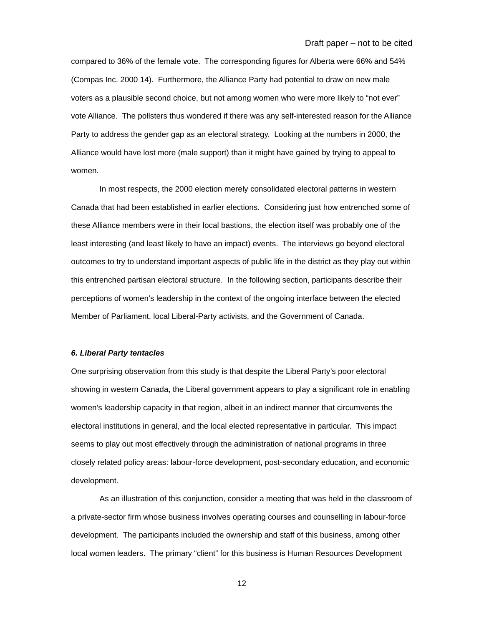compared to 36% of the female vote. The corresponding figures for Alberta were 66% and 54% (Compas Inc. 2000 14). Furthermore, the Alliance Party had potential to draw on new male voters as a plausible second choice, but not among women who were more likely to "not ever" vote Alliance. The pollsters thus wondered if there was any self-interested reason for the Alliance Party to address the gender gap as an electoral strategy. Looking at the numbers in 2000, the Alliance would have lost more (male support) than it might have gained by trying to appeal to women.

In most respects, the 2000 election merely consolidated electoral patterns in western Canada that had been established in earlier elections. Considering just how entrenched some of these Alliance members were in their local bastions, the election itself was probably one of the least interesting (and least likely to have an impact) events. The interviews go beyond electoral outcomes to try to understand important aspects of public life in the district as they play out within this entrenched partisan electoral structure. In the following section, participants describe their perceptions of women's leadership in the context of the ongoing interface between the elected Member of Parliament, local Liberal-Party activists, and the Government of Canada.

# *6. Liberal Party tentacles*

One surprising observation from this study is that despite the Liberal Party's poor electoral showing in western Canada, the Liberal government appears to play a significant role in enabling women's leadership capacity in that region, albeit in an indirect manner that circumvents the electoral institutions in general, and the local elected representative in particular. This impact seems to play out most effectively through the administration of national programs in three closely related policy areas: labour-force development, post-secondary education, and economic development.

As an illustration of this conjunction, consider a meeting that was held in the classroom of a private-sector firm whose business involves operating courses and counselling in labour-force development. The participants included the ownership and staff of this business, among other local women leaders. The primary "client" for this business is Human Resources Development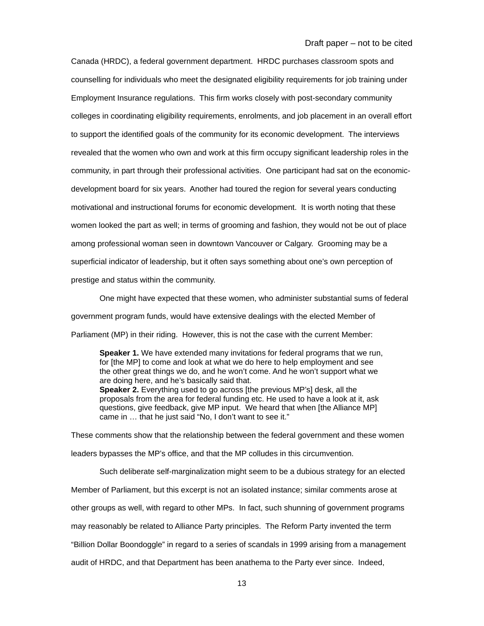Canada (HRDC), a federal government department. HRDC purchases classroom spots and counselling for individuals who meet the designated eligibility requirements for job training under Employment Insurance regulations. This firm works closely with post-secondary community colleges in coordinating eligibility requirements, enrolments, and job placement in an overall effort to support the identified goals of the community for its economic development. The interviews revealed that the women who own and work at this firm occupy significant leadership roles in the community, in part through their professional activities. One participant had sat on the economicdevelopment board for six years. Another had toured the region for several years conducting motivational and instructional forums for economic development. It is worth noting that these women looked the part as well; in terms of grooming and fashion, they would not be out of place among professional woman seen in downtown Vancouver or Calgary. Grooming may be a superficial indicator of leadership, but it often says something about one's own perception of prestige and status within the community.

One might have expected that these women, who administer substantial sums of federal government program funds, would have extensive dealings with the elected Member of Parliament (MP) in their riding. However, this is not the case with the current Member:

**Speaker 1.** We have extended many invitations for federal programs that we run, for [the MP] to come and look at what we do here to help employment and see the other great things we do, and he won't come. And he won't support what we are doing here, and he's basically said that. **Speaker 2.** Everything used to go across [the previous MP's] desk, all the proposals from the area for federal funding etc. He used to have a look at it, ask questions, give feedback, give MP input. We heard that when [the Alliance MP] came in … that he just said "No, I don't want to see it."

These comments show that the relationship between the federal government and these women leaders bypasses the MP's office, and that the MP colludes in this circumvention.

Such deliberate self-marginalization might seem to be a dubious strategy for an elected Member of Parliament, but this excerpt is not an isolated instance; similar comments arose at other groups as well, with regard to other MPs. In fact, such shunning of government programs may reasonably be related to Alliance Party principles. The Reform Party invented the term "Billion Dollar Boondoggle" in regard to a series of scandals in 1999 arising from a management audit of HRDC, and that Department has been anathema to the Party ever since. Indeed,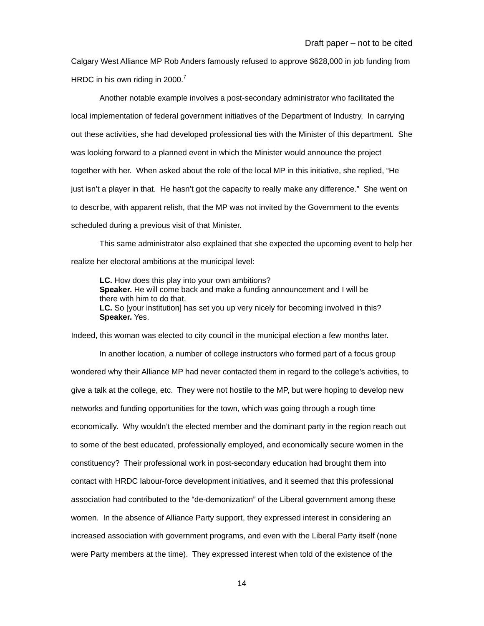Calgary West Alliance MP Rob Anders famously refused to approve \$628,000 in job funding from HRDC in his own riding in 2000.<sup>[7](#page-27-6)</sup>

Another notable example involves a post-secondary administrator who facilitated the local implementation of federal government initiatives of the Department of Industry. In carrying out these activities, she had developed professional ties with the Minister of this department. She was looking forward to a planned event in which the Minister would announce the project together with her. When asked about the role of the local MP in this initiative, she replied, "He just isn't a player in that. He hasn't got the capacity to really make any difference." She went on to describe, with apparent relish, that the MP was not invited by the Government to the events scheduled during a previous visit of that Minister.

This same administrator also explained that she expected the upcoming event to help her realize her electoral ambitions at the municipal level:

**LC.** How does this play into your own ambitions? **Speaker.** He will come back and make a funding announcement and I will be there with him to do that. **LC.** So [your institution] has set you up very nicely for becoming involved in this? **Speaker.** Yes.

Indeed, this woman was elected to city council in the municipal election a few months later.

In another location, a number of college instructors who formed part of a focus group wondered why their Alliance MP had never contacted them in regard to the college's activities, to give a talk at the college, etc. They were not hostile to the MP, but were hoping to develop new networks and funding opportunities for the town, which was going through a rough time economically. Why wouldn't the elected member and the dominant party in the region reach out to some of the best educated, professionally employed, and economically secure women in the constituency? Their professional work in post-secondary education had brought them into contact with HRDC labour-force development initiatives, and it seemed that this professional association had contributed to the "de-demonization" of the Liberal government among these women. In the absence of Alliance Party support, they expressed interest in considering an increased association with government programs, and even with the Liberal Party itself (none were Party members at the time). They expressed interest when told of the existence of the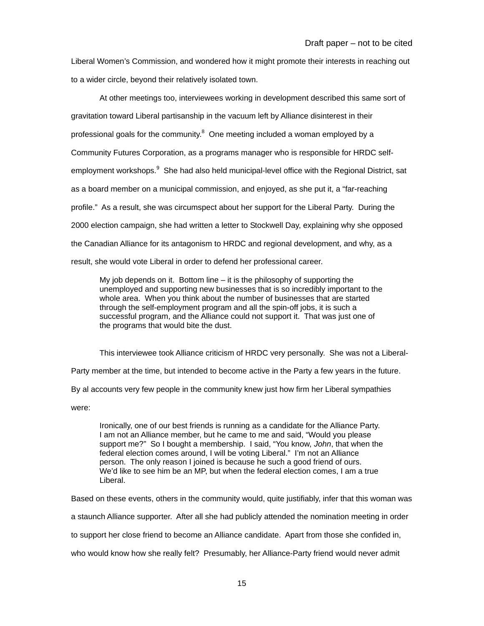Liberal Women's Commission, and wondered how it might promote their interests in reaching out to a wider circle, beyond their relatively isolated town.

At other meetings too, interviewees working in development described this same sort of gravitation toward Liberal partisanship in the vacuum left by Alliance disinterest in their professional goals for the community.<sup>[8](#page-27-7)</sup> One meeting included a woman employed by a Community Futures Corporation, as a programs manager who is responsible for HRDC self-employment workshops.<sup>[9](#page-27-8)</sup> She had also held municipal-level office with the Regional District, sat as a board member on a municipal commission, and enjoyed, as she put it, a "far-reaching profile." As a result, she was circumspect about her support for the Liberal Party. During the 2000 election campaign, she had written a letter to Stockwell Day, explaining why she opposed the Canadian Alliance for its antagonism to HRDC and regional development, and why, as a result, she would vote Liberal in order to defend her professional career.

My job depends on it. Bottom line – it is the philosophy of supporting the unemployed and supporting new businesses that is so incredibly important to the whole area. When you think about the number of businesses that are started through the self-employment program and all the spin-off jobs, it is such a successful program, and the Alliance could not support it. That was just one of the programs that would bite the dust.

This interviewee took Alliance criticism of HRDC very personally. She was not a Liberal-

Party member at the time, but intended to become active in the Party a few years in the future.

By al accounts very few people in the community knew just how firm her Liberal sympathies

were:

Ironically, one of our best friends is running as a candidate for the Alliance Party. I am not an Alliance member, but he came to me and said, "Would you please support me?" So I bought a membership. I said, "You know, *John*, that when the federal election comes around, I will be voting Liberal." I'm not an Alliance person. The only reason I joined is because he such a good friend of ours. We'd like to see him be an MP, but when the federal election comes, I am a true Liberal.

Based on these events, others in the community would, quite justifiably, infer that this woman was

a staunch Alliance supporter. After all she had publicly attended the nomination meeting in order

to support her close friend to become an Alliance candidate. Apart from those she confided in,

who would know how she really felt? Presumably, her Alliance-Party friend would never admit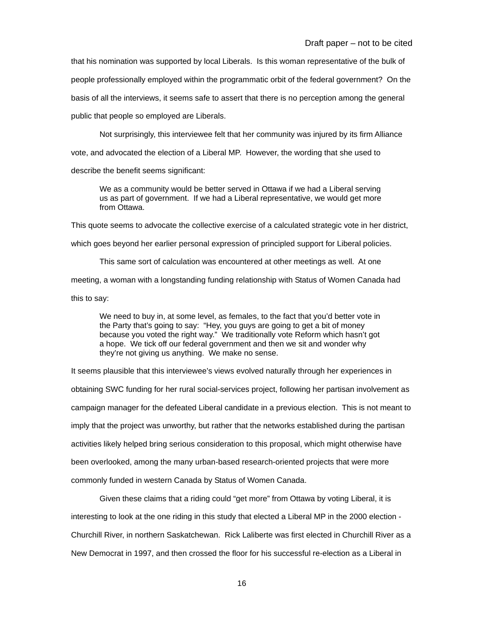Draft paper – not to be cited

that his nomination was supported by local Liberals. Is this woman representative of the bulk of people professionally employed within the programmatic orbit of the federal government? On the basis of all the interviews, it seems safe to assert that there is no perception among the general public that people so employed are Liberals.

Not surprisingly, this interviewee felt that her community was injured by its firm Alliance vote, and advocated the election of a Liberal MP. However, the wording that she used to describe the benefit seems significant:

We as a community would be better served in Ottawa if we had a Liberal serving us as part of government. If we had a Liberal representative, we would get more from Ottawa.

This quote seems to advocate the collective exercise of a calculated strategic vote in her district,

which goes beyond her earlier personal expression of principled support for Liberal policies.

This same sort of calculation was encountered at other meetings as well. At one

meeting, a woman with a longstanding funding relationship with Status of Women Canada had

this to say:

We need to buy in, at some level, as females, to the fact that you'd better vote in the Party that's going to say: "Hey, you guys are going to get a bit of money because you voted the right way." We traditionally vote Reform which hasn't got a hope. We tick off our federal government and then we sit and wonder why they're not giving us anything. We make no sense.

It seems plausible that this interviewee's views evolved naturally through her experiences in obtaining SWC funding for her rural social-services project, following her partisan involvement as campaign manager for the defeated Liberal candidate in a previous election. This is not meant to imply that the project was unworthy, but rather that the networks established during the partisan activities likely helped bring serious consideration to this proposal, which might otherwise have been overlooked, among the many urban-based research-oriented projects that were more commonly funded in western Canada by Status of Women Canada.

Given these claims that a riding could "get more" from Ottawa by voting Liberal, it is interesting to look at the one riding in this study that elected a Liberal MP in the 2000 election - Churchill River, in northern Saskatchewan. Rick Laliberte was first elected in Churchill River as a New Democrat in 1997, and then crossed the floor for his successful re-election as a Liberal in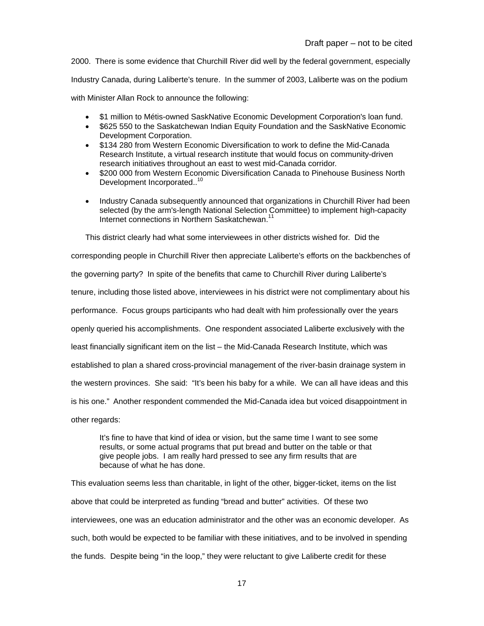2000. There is some evidence that Churchill River did well by the federal government, especially Industry Canada, during Laliberte's tenure. In the summer of 2003, Laliberte was on the podium with Minister Allan Rock to announce the following:

- \$1 million to Métis-owned SaskNative Economic Development Corporation's loan fund.
- \$625 550 to the Saskatchewan Indian Equity Foundation and the SaskNative Economic Development Corporation.
- \$134 280 from Western Economic Diversification to work to define the Mid-Canada Research Institute, a virtual research institute that would focus on community-driven research initiatives throughout an east to west mid-Canada corridor.
- \$200 000 from Western Economic Diversification Canada to Pinehouse Business North Development Incorporated..<sup>[10](#page-27-9)</sup>
- Industry Canada subsequently announced that organizations in Churchill River had been selected (by the arm's-length National Selection Committee) to implement high-capacity Internet connections in Northern Saskatchewan.<sup>[11](#page-27-10)</sup>

This district clearly had what some interviewees in other districts wished for. Did the

corresponding people in Churchill River then appreciate Laliberte's efforts on the backbenches of the governing party? In spite of the benefits that came to Churchill River during Laliberte's tenure, including those listed above, interviewees in his district were not complimentary about his performance. Focus groups participants who had dealt with him professionally over the years openly queried his accomplishments. One respondent associated Laliberte exclusively with the least financially significant item on the list – the Mid-Canada Research Institute, which was established to plan a shared cross-provincial management of the river-basin drainage system in the western provinces. She said: "It's been his baby for a while. We can all have ideas and this is his one." Another respondent commended the Mid-Canada idea but voiced disappointment in other regards:

It's fine to have that kind of idea or vision, but the same time I want to see some results, or some actual programs that put bread and butter on the table or that give people jobs. I am really hard pressed to see any firm results that are because of what he has done.

This evaluation seems less than charitable, in light of the other, bigger-ticket, items on the list above that could be interpreted as funding "bread and butter" activities. Of these two interviewees, one was an education administrator and the other was an economic developer. As such, both would be expected to be familiar with these initiatives, and to be involved in spending the funds. Despite being "in the loop," they were reluctant to give Laliberte credit for these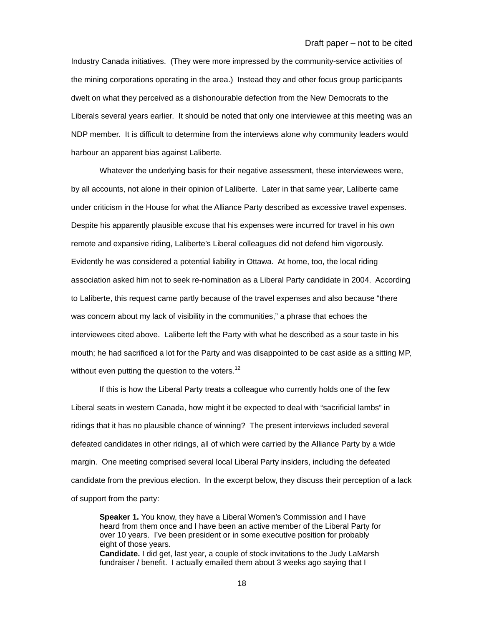Industry Canada initiatives. (They were more impressed by the community-service activities of the mining corporations operating in the area.) Instead they and other focus group participants dwelt on what they perceived as a dishonourable defection from the New Democrats to the Liberals several years earlier. It should be noted that only one interviewee at this meeting was an NDP member. It is difficult to determine from the interviews alone why community leaders would harbour an apparent bias against Laliberte.

Whatever the underlying basis for their negative assessment, these interviewees were, by all accounts, not alone in their opinion of Laliberte. Later in that same year, Laliberte came under criticism in the House for what the Alliance Party described as excessive travel expenses. Despite his apparently plausible excuse that his expenses were incurred for travel in his own remote and expansive riding, Laliberte's Liberal colleagues did not defend him vigorously. Evidently he was considered a potential liability in Ottawa. At home, too, the local riding association asked him not to seek re-nomination as a Liberal Party candidate in 2004. According to Laliberte, this request came partly because of the travel expenses and also because "there was concern about my lack of visibility in the communities," a phrase that echoes the interviewees cited above. Laliberte left the Party with what he described as a sour taste in his mouth; he had sacrificed a lot for the Party and was disappointed to be cast aside as a sitting MP, without even putting the question to the voters.<sup>[12](#page-27-11)</sup>

If this is how the Liberal Party treats a colleague who currently holds one of the few Liberal seats in western Canada, how might it be expected to deal with "sacrificial lambs" in ridings that it has no plausible chance of winning? The present interviews included several defeated candidates in other ridings, all of which were carried by the Alliance Party by a wide margin. One meeting comprised several local Liberal Party insiders, including the defeated candidate from the previous election. In the excerpt below, they discuss their perception of a lack of support from the party:

**Speaker 1.** You know, they have a Liberal Women's Commission and I have heard from them once and I have been an active member of the Liberal Party for over 10 years. I've been president or in some executive position for probably eight of those years. **Candidate.** I did get, last year, a couple of stock invitations to the Judy LaMarsh fundraiser / benefit. I actually emailed them about 3 weeks ago saying that I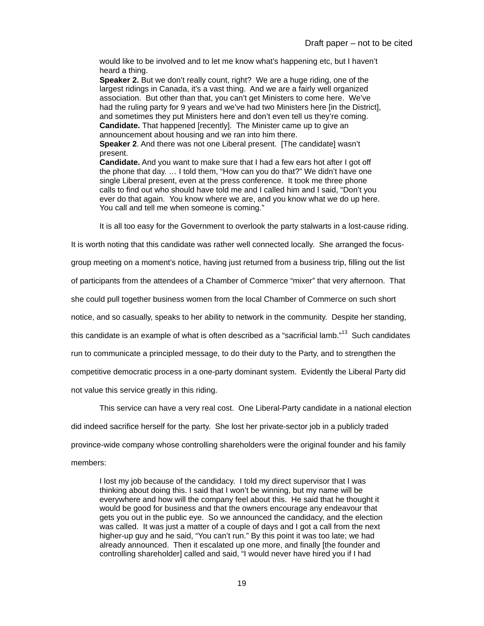would like to be involved and to let me know what's happening etc, but I haven't heard a thing.

**Speaker 2.** But we don't really count, right? We are a huge riding, one of the largest ridings in Canada, it's a vast thing. And we are a fairly well organized association. But other than that, you can't get Ministers to come here. We've had the ruling party for 9 years and we've had two Ministers here [in the District], and sometimes they put Ministers here and don't even tell us they're coming. **Candidate.** That happened [recently]. The Minister came up to give an announcement about housing and we ran into him there. **Speaker 2**. And there was not one Liberal present. [The candidate] wasn't present.

**Candidate.** And you want to make sure that I had a few ears hot after I got off the phone that day. … I told them, "How can you do that?" We didn't have one single Liberal present, even at the press conference. It took me three phone calls to find out who should have told me and I called him and I said, "Don't you ever do that again. You know where we are, and you know what we do up here. You call and tell me when someone is coming."

It is all too easy for the Government to overlook the party stalwarts in a lost-cause riding.

It is worth noting that this candidate was rather well connected locally. She arranged the focus-

group meeting on a moment's notice, having just returned from a business trip, filling out the list

of participants from the attendees of a Chamber of Commerce "mixer" that very afternoon. That

she could pull together business women from the local Chamber of Commerce on such short

notice, and so casually, speaks to her ability to network in the community. Despite her standing,

this candidate is an example of what is often described as a "sacrificial lamb."<sup>13</sup> Such candidates

run to communicate a principled message, to do their duty to the Party, and to strengthen the

competitive democratic process in a one-party dominant system. Evidently the Liberal Party did

not value this service greatly in this riding.

This service can have a very real cost. One Liberal-Party candidate in a national election

did indeed sacrifice herself for the party. She lost her private-sector job in a publicly traded

province-wide company whose controlling shareholders were the original founder and his family

## members:

I lost my job because of the candidacy. I told my direct supervisor that I was thinking about doing this. I said that I won't be winning, but my name will be everywhere and how will the company feel about this. He said that he thought it would be good for business and that the owners encourage any endeavour that gets you out in the public eye. So we announced the candidacy, and the election was called. It was just a matter of a couple of days and I got a call from the next higher-up guy and he said, "You can't run." By this point it was too late; we had already announced. Then it escalated up one more, and finally [the founder and controlling shareholder] called and said, "I would never have hired you if I had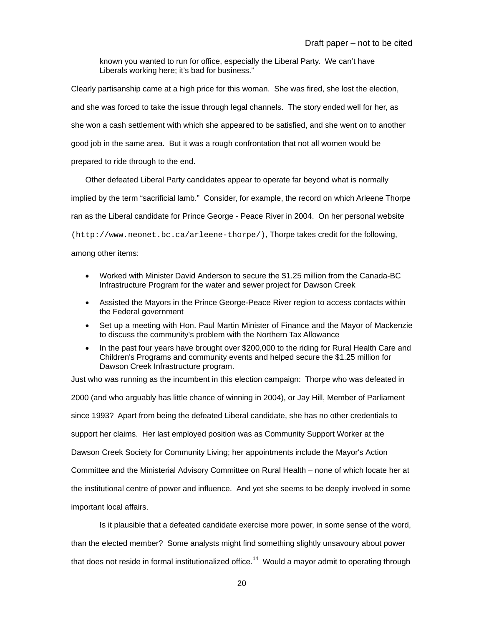known you wanted to run for office, especially the Liberal Party. We can't have Liberals working here; it's bad for business."

Clearly partisanship came at a high price for this woman. She was fired, she lost the election, and she was forced to take the issue through legal channels. The story ended well for her, as she won a cash settlement with which she appeared to be satisfied, and she went on to another good job in the same area. But it was a rough confrontation that not all women would be prepared to ride through to the end.

Other defeated Liberal Party candidates appear to operate far beyond what is normally implied by the term "sacrificial lamb." Consider, for example, the record on which Arleene Thorpe ran as the Liberal candidate for Prince George - Peace River in 2004. On her personal website (http://www.neonet.bc.ca/arleene-thorpe/), Thorpe takes credit for the following,

among other items:

- Worked with Minister David Anderson to secure the \$1.25 million from the Canada-BC Infrastructure Program for the water and sewer project for Dawson Creek
- Assisted the Mayors in the Prince George-Peace River region to access contacts within the Federal government
- Set up a meeting with Hon. Paul Martin Minister of Finance and the Mayor of Mackenzie to discuss the community's problem with the Northern Tax Allowance
- In the past four years have brought over \$200,000 to the riding for Rural Health Care and Children's Programs and community events and helped secure the \$1.25 million for Dawson Creek Infrastructure program.

Just who was running as the incumbent in this election campaign: Thorpe who was defeated in 2000 (and who arguably has little chance of winning in 2004), or Jay Hill, Member of Parliament since 1993? Apart from being the defeated Liberal candidate, she has no other credentials to support her claims. Her last employed position was as Community Support Worker at the Dawson Creek Society for Community Living; her appointments include the Mayor's Action Committee and the Ministerial Advisory Committee on Rural Health – none of which locate her at the institutional centre of power and influence. And yet she seems to be deeply involved in some important local affairs.

Is it plausible that a defeated candidate exercise more power, in some sense of the word,

than the elected member? Some analysts might find something slightly unsavoury about power that does not reside in formal institutionalized office.<sup>14</sup> Would a mayor admit to operating through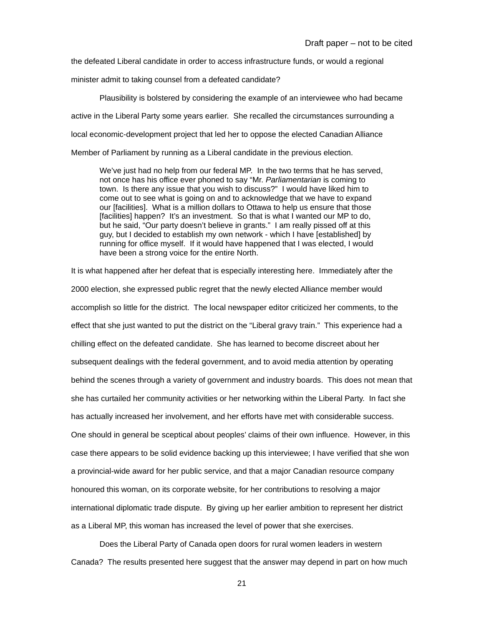the defeated Liberal candidate in order to access infrastructure funds, or would a regional

minister admit to taking counsel from a defeated candidate?

Plausibility is bolstered by considering the example of an interviewee who had became active in the Liberal Party some years earlier. She recalled the circumstances surrounding a local economic-development project that led her to oppose the elected Canadian Alliance Member of Parliament by running as a Liberal candidate in the previous election.

We've just had no help from our federal MP. In the two terms that he has served, not once has his office ever phoned to say "Mr. *Parliamentarian* is coming to town. Is there any issue that you wish to discuss?" I would have liked him to come out to see what is going on and to acknowledge that we have to expand our [facilities]. What is a million dollars to Ottawa to help us ensure that those [facilities] happen? It's an investment. So that is what I wanted our MP to do, but he said, "Our party doesn't believe in grants." I am really pissed off at this guy, but I decided to establish my own network - which I have [established] by running for office myself. If it would have happened that I was elected, I would have been a strong voice for the entire North.

It is what happened after her defeat that is especially interesting here. Immediately after the 2000 election, she expressed public regret that the newly elected Alliance member would accomplish so little for the district. The local newspaper editor criticized her comments, to the effect that she just wanted to put the district on the "Liberal gravy train." This experience had a chilling effect on the defeated candidate. She has learned to become discreet about her subsequent dealings with the federal government, and to avoid media attention by operating behind the scenes through a variety of government and industry boards. This does not mean that she has curtailed her community activities or her networking within the Liberal Party. In fact she has actually increased her involvement, and her efforts have met with considerable success. One should in general be sceptical about peoples' claims of their own influence. However, in this case there appears to be solid evidence backing up this interviewee; I have verified that she won a provincial-wide award for her public service, and that a major Canadian resource company honoured this woman, on its corporate website, for her contributions to resolving a major international diplomatic trade dispute. By giving up her earlier ambition to represent her district as a Liberal MP, this woman has increased the level of power that she exercises.

Does the Liberal Party of Canada open doors for rural women leaders in western Canada? The results presented here suggest that the answer may depend in part on how much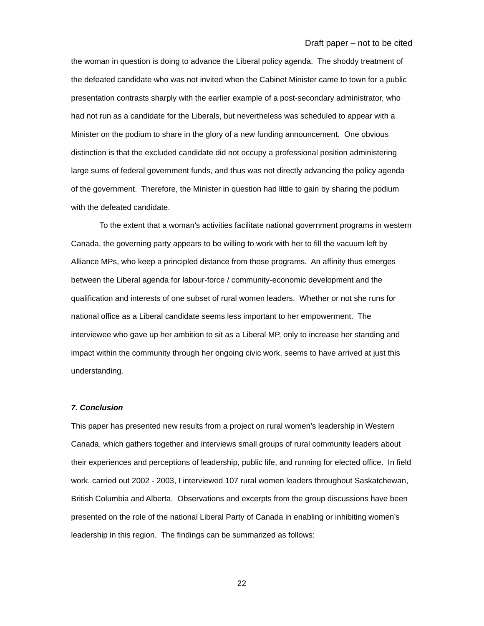Draft paper – not to be cited

the woman in question is doing to advance the Liberal policy agenda. The shoddy treatment of the defeated candidate who was not invited when the Cabinet Minister came to town for a public presentation contrasts sharply with the earlier example of a post-secondary administrator, who had not run as a candidate for the Liberals, but nevertheless was scheduled to appear with a Minister on the podium to share in the glory of a new funding announcement. One obvious distinction is that the excluded candidate did not occupy a professional position administering large sums of federal government funds, and thus was not directly advancing the policy agenda of the government. Therefore, the Minister in question had little to gain by sharing the podium with the defeated candidate.

To the extent that a woman's activities facilitate national government programs in western Canada, the governing party appears to be willing to work with her to fill the vacuum left by Alliance MPs, who keep a principled distance from those programs. An affinity thus emerges between the Liberal agenda for labour-force / community-economic development and the qualification and interests of one subset of rural women leaders. Whether or not she runs for national office as a Liberal candidate seems less important to her empowerment. The interviewee who gave up her ambition to sit as a Liberal MP, only to increase her standing and impact within the community through her ongoing civic work, seems to have arrived at just this understanding.

#### *7. Conclusion*

This paper has presented new results from a project on rural women's leadership in Western Canada, which gathers together and interviews small groups of rural community leaders about their experiences and perceptions of leadership, public life, and running for elected office. In field work, carried out 2002 - 2003, I interviewed 107 rural women leaders throughout Saskatchewan, British Columbia and Alberta. Observations and excerpts from the group discussions have been presented on the role of the national Liberal Party of Canada in enabling or inhibiting women's leadership in this region. The findings can be summarized as follows: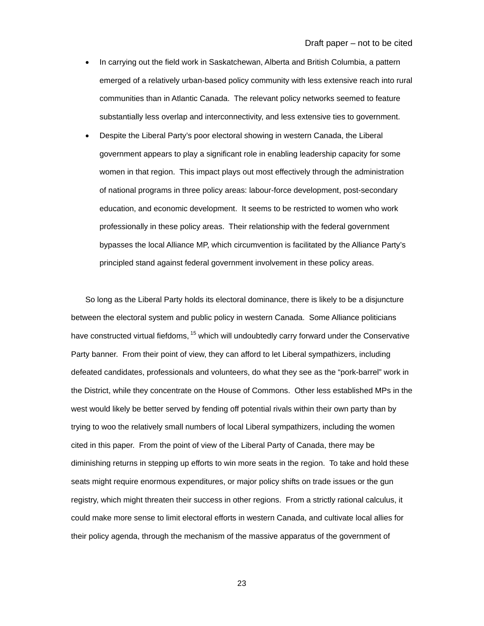- In carrying out the field work in Saskatchewan, Alberta and British Columbia, a pattern emerged of a relatively urban-based policy community with less extensive reach into rural communities than in Atlantic Canada. The relevant policy networks seemed to feature substantially less overlap and interconnectivity, and less extensive ties to government.
- Despite the Liberal Party's poor electoral showing in western Canada, the Liberal government appears to play a significant role in enabling leadership capacity for some women in that region. This impact plays out most effectively through the administration of national programs in three policy areas: labour-force development, post-secondary education, and economic development. It seems to be restricted to women who work professionally in these policy areas. Their relationship with the federal government bypasses the local Alliance MP, which circumvention is facilitated by the Alliance Party's principled stand against federal government involvement in these policy areas.

So long as the Liberal Party holds its electoral dominance, there is likely to be a disjuncture between the electoral system and public policy in western Canada. Some Alliance politicians have constructed virtual fiefdoms, <sup>15</sup> which will undoubtedly carry forward under the Conservative Party banner. From their point of view, they can afford to let Liberal sympathizers, including defeated candidates, professionals and volunteers, do what they see as the "pork-barrel" work in the District, while they concentrate on the House of Commons. Other less established MPs in the west would likely be better served by fending off potential rivals within their own party than by trying to woo the relatively small numbers of local Liberal sympathizers, including the women cited in this paper. From the point of view of the Liberal Party of Canada, there may be diminishing returns in stepping up efforts to win more seats in the region. To take and hold these seats might require enormous expenditures, or major policy shifts on trade issues or the gun registry, which might threaten their success in other regions. From a strictly rational calculus, it could make more sense to limit electoral efforts in western Canada, and cultivate local allies for their policy agenda, through the mechanism of the massive apparatus of the government of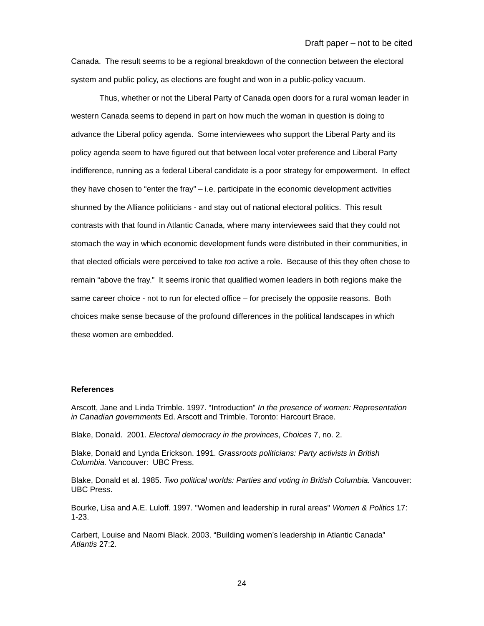Canada. The result seems to be a regional breakdown of the connection between the electoral system and public policy, as elections are fought and won in a public-policy vacuum.

Thus, whether or not the Liberal Party of Canada open doors for a rural woman leader in western Canada seems to depend in part on how much the woman in question is doing to advance the Liberal policy agenda. Some interviewees who support the Liberal Party and its policy agenda seem to have figured out that between local voter preference and Liberal Party indifference, running as a federal Liberal candidate is a poor strategy for empowerment. In effect they have chosen to "enter the fray" – i.e. participate in the economic development activities shunned by the Alliance politicians - and stay out of national electoral politics. This result contrasts with that found in Atlantic Canada, where many interviewees said that they could not stomach the way in which economic development funds were distributed in their communities, in that elected officials were perceived to take *too* active a role. Because of this they often chose to remain "above the fray." It seems ironic that qualified women leaders in both regions make the same career choice - not to run for elected office – for precisely the opposite reasons. Both choices make sense because of the profound differences in the political landscapes in which these women are embedded.

#### **References**

Arscott, Jane and Linda Trimble. 1997. "Introduction" *In the presence of women: Representation in Canadian governments* Ed. Arscott and Trimble. Toronto: Harcourt Brace.

Blake, Donald. 2001. *Electoral democracy in the provinces*, *Choices* 7, no. 2.

Blake, Donald and Lynda Erickson. 1991. *Grassroots politicians: Party activists in British Columbia.* Vancouver: UBC Press.

Blake, Donald et al. 1985. *Two political worlds: Parties and voting in British Columbia.* Vancouver: UBC Press.

Bourke, Lisa and A.E. Luloff. 1997. "Women and leadership in rural areas" *Women & Politics* 17: 1-23.

Carbert, Louise and Naomi Black. 2003. "Building women's leadership in Atlantic Canada" *Atlantis* 27:2.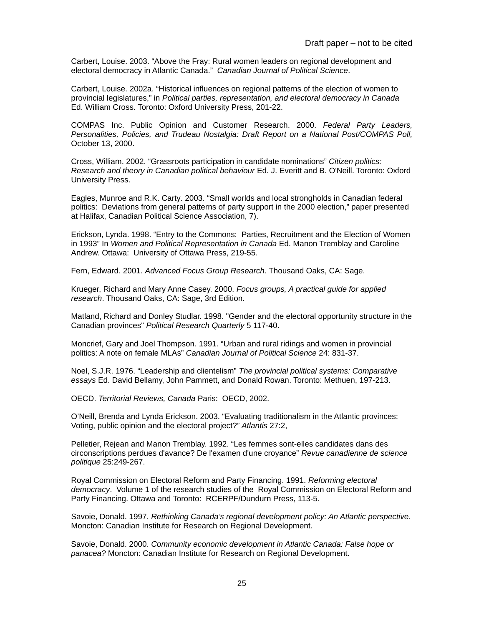Carbert, Louise. 2003. "Above the Fray: Rural women leaders on regional development and electoral democracy in Atlantic Canada." *Canadian Journal of Political Science*.

Carbert, Louise. 2002a. "Historical influences on regional patterns of the election of women to provincial legislatures," in *Political parties, representation, and electoral democracy in Canada* Ed. William Cross. Toronto: Oxford University Press, 201-22.

COMPAS Inc. Public Opinion and Customer Research. 2000. *Federal Party Leaders, Personalities, Policies, and Trudeau Nostalgia: Draft Report on a National Post/COMPAS Poll,*  October 13, 2000.

Cross, William. 2002. "Grassroots participation in candidate nominations" *Citizen politics: Research and theory in Canadian political behaviour* Ed. J. Everitt and B. O'Neill. Toronto: Oxford University Press.

Eagles, Munroe and R.K. Carty. 2003. "Small worlds and local strongholds in Canadian federal politics: Deviations from general patterns of party support in the 2000 election," paper presented at Halifax, Canadian Political Science Association, 7).

Erickson, Lynda. 1998. "Entry to the Commons: Parties, Recruitment and the Election of Women in 1993" In *Women and Political Representation in Canada* Ed. Manon Tremblay and Caroline Andrew. Ottawa: University of Ottawa Press, 219-55.

Fern, Edward. 2001. *Advanced Focus Group Research*. Thousand Oaks, CA: Sage.

Krueger, Richard and Mary Anne Casey. 2000. *Focus groups, A practical guide for applied research*. Thousand Oaks, CA: Sage, 3rd Edition.

Matland, Richard and Donley Studlar. 1998. "Gender and the electoral opportunity structure in the Canadian provinces" *Political Research Quarterly* 5 117-40.

Moncrief, Gary and Joel Thompson. 1991. "Urban and rural ridings and women in provincial politics: A note on female MLAs" *Canadian Journal of Political Science* 24: 831-37.

Noel, S.J.R. 1976. "Leadership and clientelism" *The provincial political systems: Comparative essays* Ed. David Bellamy, John Pammett, and Donald Rowan. Toronto: Methuen, 197-213.

OECD. *Territorial Reviews, Canada* Paris: OECD, 2002.

O'Neill, Brenda and Lynda Erickson. 2003. "Evaluating traditionalism in the Atlantic provinces: Voting, public opinion and the electoral project?" *Atlantis* 27:2,

Pelletier, Rejean and Manon Tremblay. 1992. "Les femmes sont-elles candidates dans des circonscriptions perdues d'avance? De l'examen d'une croyance" *Revue canadienne de science politique* 25:249-267.

Royal Commission on Electoral Reform and Party Financing. 1991. *Reforming electoral democracy*. Volume 1 of the research studies of the Royal Commission on Electoral Reform and Party Financing. Ottawa and Toronto: RCERPF/Dundurn Press, 113-5.

Savoie, Donald. 1997. *Rethinking Canada's regional development policy: An Atlantic perspective*. Moncton: Canadian Institute for Research on Regional Development.

Savoie, Donald. 2000. *Community economic development in Atlantic Canada: False hope or panacea?* Moncton: Canadian Institute for Research on Regional Development.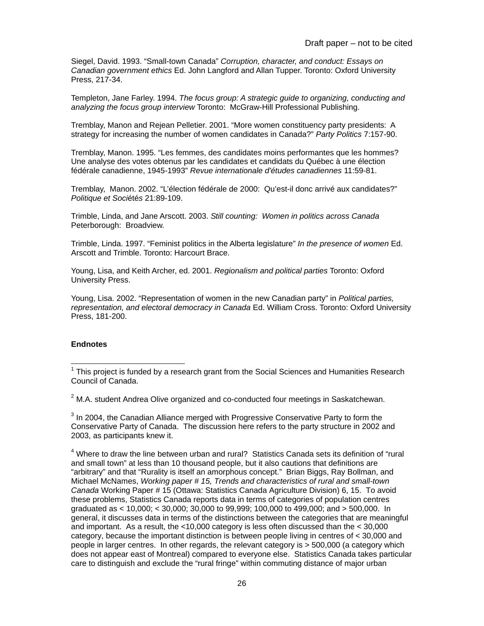Siegel, David. 1993. "Small-town Canada" *Corruption, character, and conduct: Essays on Canadian government ethics* Ed. John Langford and Allan Tupper. Toronto: Oxford University Press, 217-34.

Templeton, Jane Farley. 1994. *The focus group: A strategic guide to organizing, conducting and analyzing the focus group interview* Toronto: McGraw-Hill Professional Publishing.

Tremblay, Manon and Rejean Pelletier. 2001. "More women constituency party presidents: A strategy for increasing the number of women candidates in Canada?" *Party Politics* 7:157-90.

Tremblay, Manon. 1995. "Les femmes, des candidates moins performantes que les hommes? Une analyse des votes obtenus par les candidates et candidats du Québec à une élection fédérale canadienne, 1945-1993" *Revue internationale d'études canadiennes* 11:59-81.

Tremblay, Manon. 2002. "L'élection fédérale de 2000: Qu'est-il donc arrivé aux candidates?" *Politique et Soci*été*s* 21:89-109.

Trimble, Linda, and Jane Arscott. 2003. *Still counting: Women in politics across Canada* Peterborough: Broadview.

Trimble, Linda. 1997. "Feminist politics in the Alberta legislature" *In the presence of women* Ed. Arscott and Trimble. Toronto: Harcourt Brace.

Young, Lisa, and Keith Archer, ed. 2001. *Regionalism and political parties* Toronto: Oxford University Press.

Young, Lisa. 2002. "Representation of women in the new Canadian party" in *Political parties, representation, and electoral democracy in Canada* Ed. William Cross. Toronto: Oxford University Press, 181-200.

# **Endnotes**

 $2$  M.A. student Andrea Olive organized and co-conducted four meetings in Saskatchewan.

 $3$  In 2004, the Canadian Alliance merged with Progressive Conservative Party to form the Conservative Party of Canada. The discussion here refers to the party structure in 2002 and 2003, as participants knew it.

<sup>4</sup> Where to draw the line between urban and rural? Statistics Canada sets its definition of "rural and small town" at less than 10 thousand people, but it also cautions that definitions are "arbitrary" and that "Rurality is itself an amorphous concept." Brian Biggs, Ray Bollman, and Michael McNames, *Working paper # 15, Trends and characteristics of rural and small-town Canada* Working Paper # 15 (Ottawa: Statistics Canada Agriculture Division) 6, 15. To avoid these problems, Statistics Canada reports data in terms of categories of population centres graduated as < 10,000; < 30,000; 30,000 to 99,999; 100,000 to 499,000; and > 500,000. In general, it discusses data in terms of the distinctions between the categories that are meaningful and important. As a result, the <10,000 category is less often discussed than the < 30,000 category, because the important distinction is between people living in centres of < 30,000 and people in larger centres. In other regards, the relevant category is > 500,000 (a category which does not appear east of Montreal) compared to everyone else. Statistics Canada takes particular care to distinguish and exclude the "rural fringe" within commuting distance of major urban

<sup>————————————————————&</sup>lt;br><sup>1</sup> This project is funded by a research grant from the Social Sciences and Humanities Research Council of Canada.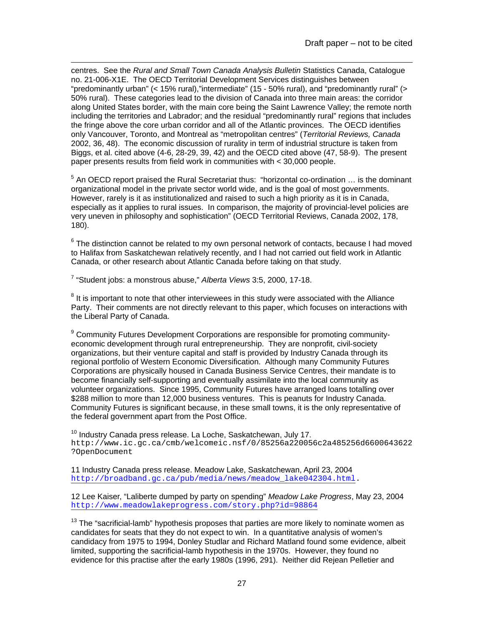centres. See the *Rural and Small Town Canada Analysis Bulletin* Statistics Canada, Catalogue no. 21-006-X1E. The OECD Territorial Development Services distinguishes between "predominantly urban" (< 15% rural),"intermediate" (15 - 50% rural), and "predominantly rural" (> 50% rural). These categories lead to the division of Canada into three main areas: the corridor along United States border, with the main core being the Saint Lawrence Valley; the remote north including the territories and Labrador; and the residual "predominantly rural" regions that includes the fringe above the core urban corridor and all of the Atlantic provinces. The OECD identifies only Vancouver, Toronto, and Montreal as "metropolitan centres" (*Territorial Reviews, Canada* 2002, 36, 48). The economic discussion of rurality in term of industrial structure is taken from Biggs, et al. cited above (4-6, 28-29, 39, 42) and the OECD cited above (47, 58-9). The present paper presents results from field work in communities with < 30,000 people.

 $<sup>5</sup>$  An OECD report praised the Rural Secretariat thus: "horizontal co-ordination ... is the dominant</sup> organizational model in the private sector world wide, and is the goal of most governments. However, rarely is it as institutionalized and raised to such a high priority as it is in Canada, especially as it applies to rural issues. In comparison, the majority of provincial-level policies are very uneven in philosophy and sophistication" (OECD Territorial Reviews, Canada 2002, 178, 180).

 $^6$  The distinction cannot be related to my own personal network of contacts, because I had moved to Halifax from Saskatchewan relatively recently, and I had not carried out field work in Atlantic Canada, or other research about Atlantic Canada before taking on that study.

7 "Student jobs: a monstrous abuse," *Alberta Views* 3:5, 2000, 17-18.

l

 $8$  It is important to note that other interviewees in this study were associated with the Alliance Party. Their comments are not directly relevant to this paper, which focuses on interactions with the Liberal Party of Canada.

<sup>9</sup> Community Futures Development Corporations are responsible for promoting communityeconomic development through rural entrepreneurship. They are nonprofit, civil-society organizations, but their venture capital and staff is provided by Industry Canada through its regional portfolio of Western Economic Diversification. Although many Community Futures Corporations are physically housed in Canada Business Service Centres, their mandate is to become financially self-supporting and eventually assimilate into the local community as volunteer organizations. Since 1995, Community Futures have arranged loans totalling over \$288 million to more than 12,000 business ventures. This is peanuts for Industry Canada. Community Futures is significant because, in these small towns, it is the only representative of the federal government apart from the Post Office.

 $10$  Industry Canada press release. La Loche, Saskatchewan, July 17. http://www.ic.gc.ca/cmb/welcomeic.nsf/0/85256a220056c2a485256d6600643622 ?OpenDocument

11 Industry Canada press release. Meadow Lake, Saskatchewan, April 23, 2004 [http://broadband.gc.ca/pub/media/news/meadow\\_lake042304.html](http://broadband.gc.ca/pub/media/news/meadow_lake042304.html).

12 Lee Kaiser, "Laliberte dumped by party on spending" *Meadow Lake Progress*, May 23, 2004 <http://www.meadowlakeprogress.com/story.php?id=98864>

 $13$  The "sacrificial-lamb" hypothesis proposes that parties are more likely to nominate women as candidates for seats that they do not expect to win. In a quantitative analysis of women's candidacy from 1975 to 1994, Donley Studlar and Richard Matland found some evidence, albeit limited, supporting the sacrificial-lamb hypothesis in the 1970s. However, they found no evidence for this practise after the early 1980s (1996, 291). Neither did Rejean Pelletier and